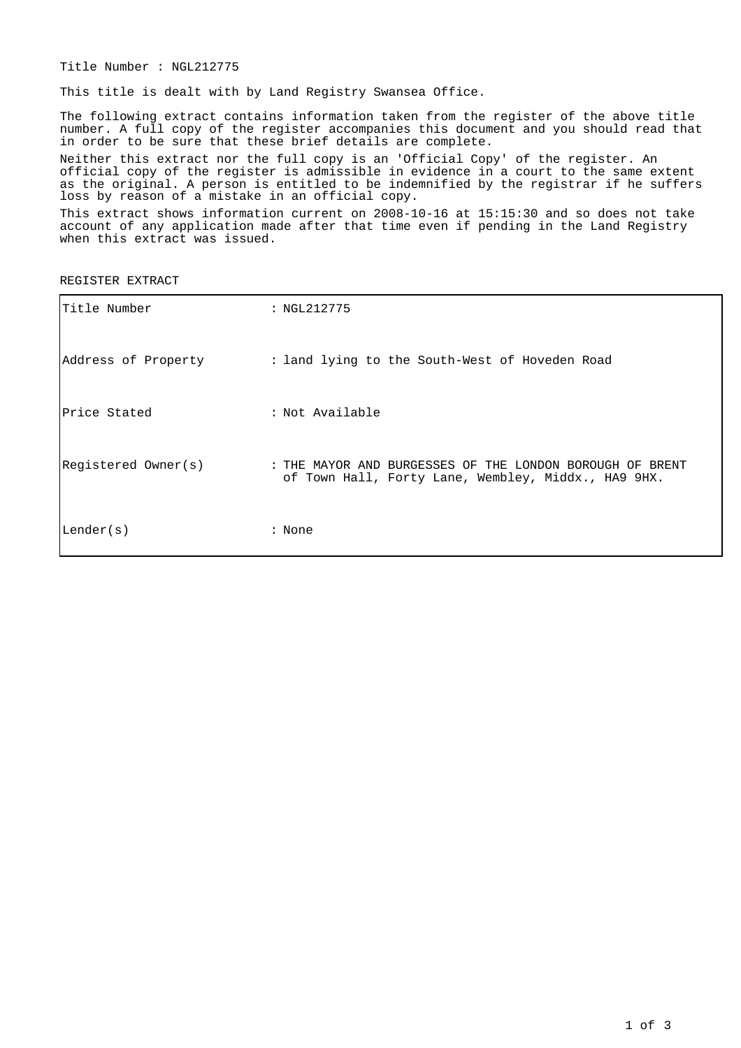Title Number : NGL212775

This title is dealt with by Land Registry Swansea Office.

The following extract contains information taken from the register of the above title number. A full copy of the register accompanies this document and you should read that in order to be sure that these brief details are complete.

Neither this extract nor the full copy is an 'Official Copy' of the register. An official copy of the register is admissible in evidence in a court to the same extent as the original. A person is entitled to be indemnified by the registrar if he suffers loss by reason of a mistake in an official copy.

This extract shows information current on 2008-10-16 at 15:15:30 and so does not take account of any application made after that time even if pending in the Land Registry when this extract was issued.

REGISTER EXTRACT

| Title Number        | : NGL212775                                                                                                     |
|---------------------|-----------------------------------------------------------------------------------------------------------------|
| Address of Property | : land lying to the South-West of Hoveden Road                                                                  |
| Price Stated        | : Not Available                                                                                                 |
| Registered Owner(s) | : THE MAYOR AND BURGESSES OF THE LONDON BOROUGH OF BRENT<br>of Town Hall, Forty Lane, Wembley, Middx., HA9 9HX. |
| Lender(s)           | : None                                                                                                          |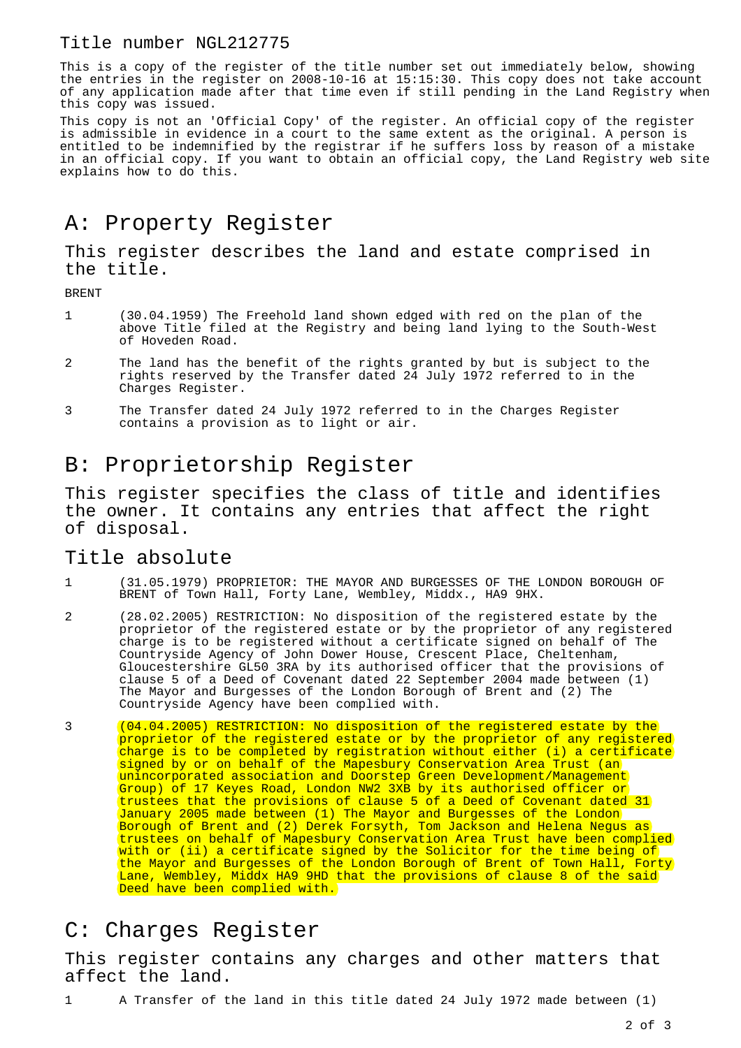#### Title number NGL212775

This is a copy of the register of the title number set out immediately below, showing the entries in the register on 2008-10-16 at 15:15:30. This copy does not take account of any application made after that time even if still pending in the Land Registry when this copy was issued.

This copy is not an 'Official Copy' of the register. An official copy of the register is admissible in evidence in a court to the same extent as the original. A person is entitled to be indemnified by the registrar if he suffers loss by reason of a mistake in an official copy. If you want to obtain an official copy, the Land Registry web site explains how to do this.

## A: Property Register

This register describes the land and estate comprised in the title.

BRENT

- 1 (30.04.1959) The Freehold land shown edged with red on the plan of the above Title filed at the Registry and being land lying to the South-West of Hoveden Road.
- 2 The land has the benefit of the rights granted by but is subject to the rights reserved by the Transfer dated 24 July 1972 referred to in the Charges Register.
- 3 The Transfer dated 24 July 1972 referred to in the Charges Register contains a provision as to light or air.

## B: Proprietorship Register

This register specifies the class of title and identifies the owner. It contains any entries that affect the right of disposal.

#### Title absolute

- 1 (31.05.1979) PROPRIETOR: THE MAYOR AND BURGESSES OF THE LONDON BOROUGH OF BRENT of Town Hall, Forty Lane, Wembley, Middx., HA9 9HX.
- 2 (28.02.2005) RESTRICTION: No disposition of the registered estate by the proprietor of the registered estate or by the proprietor of any registered charge is to be registered without a certificate signed on behalf of The Countryside Agency of John Dower House, Crescent Place, Cheltenham, Gloucestershire GL50 3RA by its authorised officer that the provisions of clause 5 of a Deed of Covenant dated 22 September 2004 made between (1) The Mayor and Burgesses of the London Borough of Brent and (2) The Countryside Agency have been complied with.
- 3 (04.04.2005) RESTRICTION: No disposition of the registered estate by the proprietor of the registered estate or by the proprietor of any registered charge is to be completed by registration without either (i) a certificate signed by or on behalf of the Mapesbury Conservation Area Trust (an unincorporated association and Doorstep Green Development/Management Group) of 17 Keyes Road, London NW2 3XB by its authorised officer or trustees that the provisions of clause 5 of a Deed of Covenant dated 31 January 2005 made between (1) The Mayor and Burgesses of the London Borough of Brent and (2) Derek Forsyth, Tom Jackson and Helena Negus as trustees on behalf of Mapesbury Conservation Area Trust have been complied with or (ii) a certificate signed by the Solicitor for the time being of the Mayor and Burgesses of the London Borough of Brent of Town Hall, Forty Lane, Wembley, Middx HA9 9HD that the provisions of clause 8 of the said Deed have been complied with.

## C: Charges Register

This register contains any charges and other matters that affect the land.

1 A Transfer of the land in this title dated 24 July 1972 made between (1)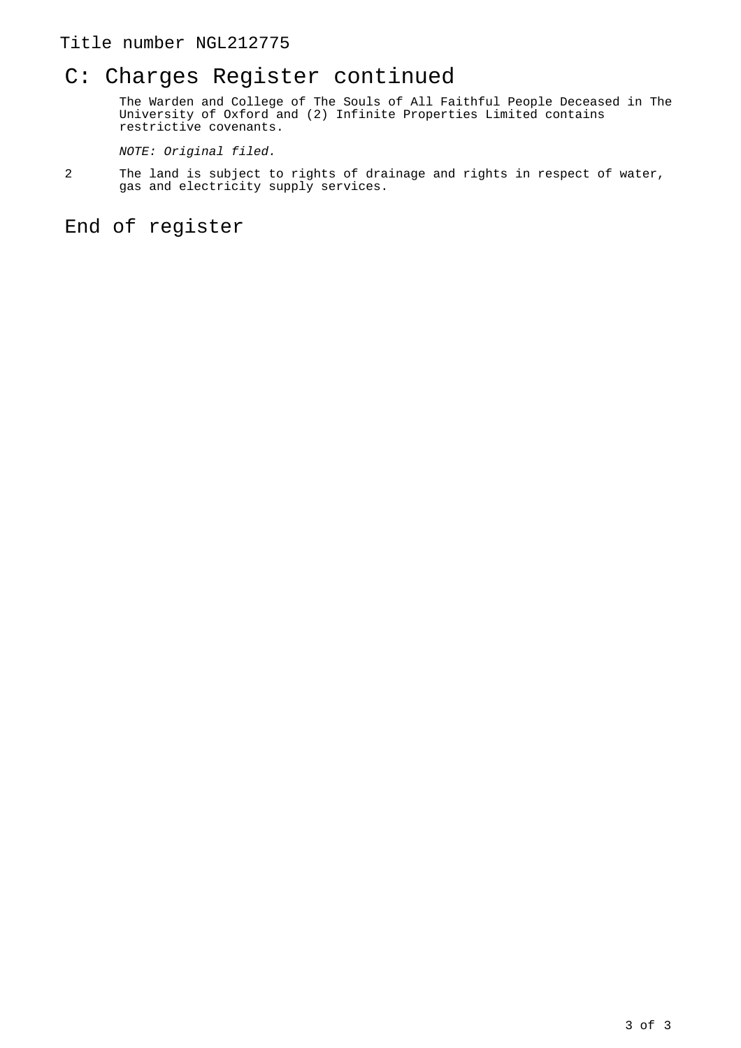## C: Charges Register continued

The Warden and College of The Souls of All Faithful People Deceased in The University of Oxford and (2) Infinite Properties Limited contains restrictive covenants.

NOTE: Original filed.

2 The land is subject to rights of drainage and rights in respect of water, gas and electricity supply services.

End of register